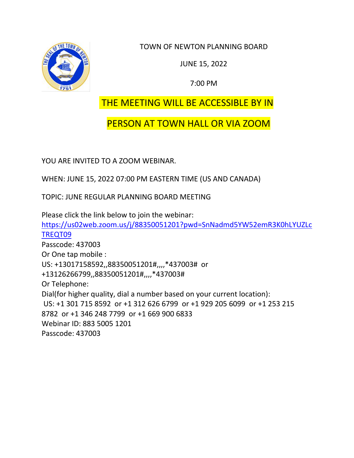

TOWN OF NEWTON PLANNING BOARD

JUNE 15, 2022

7:00 PM

# THE MEETING WILL BE ACCESSIBLE BY IN

# PERSON AT TOWN HALL OR VIA ZOOM

YOU ARE INVITED TO A ZOOM WEBINAR.

WHEN: JUNE 15, 2022 07:00 PM EASTERN TIME (US AND CANADA)

TOPIC: JUNE REGULAR PLANNING BOARD MEETING

Please click the link below to join the webinar: [https://us02web.zoom.us/j/88350051201?pwd=SnNadmd5YW52emR3K0hLYUZLc](https://us02web.zoom.us/j/88350051201?pwd=SnNadmd5YW52emR3K0hLYUZLcTREQT09) [TREQT09](https://us02web.zoom.us/j/88350051201?pwd=SnNadmd5YW52emR3K0hLYUZLcTREQT09) Passcode: 437003 Or One tap mobile : US: +13017158592,,88350051201#,,,,\*437003# or +13126266799,,88350051201#,,,,\*437003# Or Telephone: Dial(for higher quality, dial a number based on your current location): US: +1 301 715 8592 or +1 312 626 6799 or +1 929 205 6099 or +1 253 215 8782 or +1 346 248 7799 or +1 669 900 6833 Webinar ID: 883 5005 1201 Passcode: 437003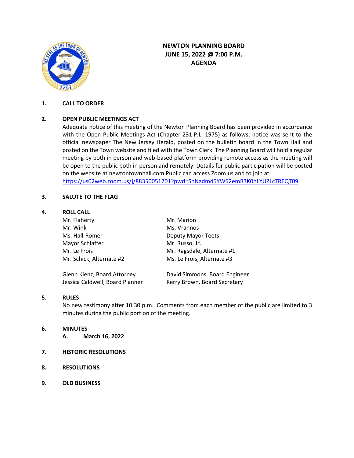

# **NEWTON PLANNING BOARD JUNE 15, 2022 @ 7:00 P.M. AGENDA**

### **1. CALL TO ORDER**

# **2. OPEN PUBLIC MEETINGS ACT**

Adequate notice of this meeting of the Newton Planning Board has been provided in accordance with the Open Public Meetings Act (Chapter 231.P.L. 1975) as follows: notice was sent to the official newspaper The New Jersey Herald, posted on the bulletin board in the Town Hall and posted on the Town website and filed with the Town Clerk. The Planning Board will hold a regular meeting by both in person and web-based platform providing remote access as the meeting will be open to the public both in person and remotely. Details for public participation will be posted on the website at newtontownhall.com Public can access Zoom.us and to join at: <https://us02web.zoom.us/j/88350051201?pwd=SnNadmd5YW52emR3K0hLYUZLcTREQT09>

#### **3. SALUTE TO THE FLAG**

#### **4. ROLL CALL**

| Mr. Flaherty                    | Mr. Marion                    |
|---------------------------------|-------------------------------|
| Mr. Wink                        | Ms. Vrahnos                   |
| Ms. Hall-Romer                  | Deputy Mayor Teets            |
| Mayor Schlaffer                 | Mr. Russo, Jr.                |
| Mr. Le Frois                    | Mr. Ragsdale, Alternate #1    |
| Mr. Schick, Alternate #2        | Ms. Le Frois, Alternate #3    |
| Glenn Kienz, Board Attorney     | David Simmons, Board Engineer |
| Jessica Caldwell, Board Planner | Kerry Brown, Board Secretary  |

#### **5. RULES**

No new testimony after 10:30 p.m. Comments from each member of the public are limited to 3 minutes during the public portion of the meeting.

# **6. MINUTES**

- **A. March 16, 2022**
- **7. HISTORIC RESOLUTIONS**
- **8. RESOLUTIONS**
- **9. OLD BUSINESS**